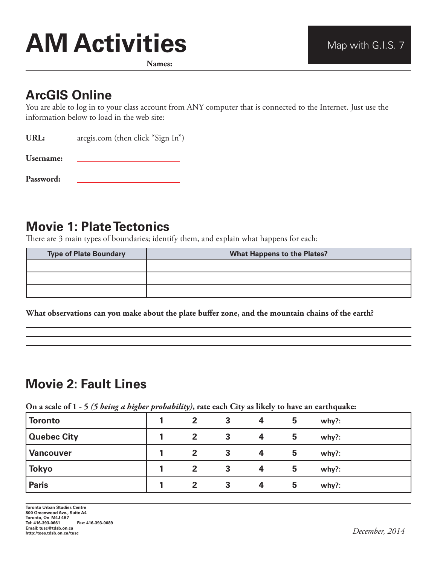# **AM Activities** Map with G.I.S. 7

**Names:**

#### **ArcGIS Online**

You are able to log in to your class account from ANY computer that is connected to the Internet. Just use the information below to load in the web site:

URL: arcgis.com (then click "Sign In")

**Username:** 

**Password:** 

## **Movie 1: Plate Tectonics**

There are 3 main types of boundaries; identify them, and explain what happens for each:

| <b>Type of Plate Boundary</b> | <b>What Happens to the Plates?</b> |  |  |  |  |  |  |
|-------------------------------|------------------------------------|--|--|--|--|--|--|
|                               |                                    |  |  |  |  |  |  |
|                               |                                    |  |  |  |  |  |  |
|                               |                                    |  |  |  |  |  |  |

**What observations can you make about the plate buffer zone, and the mountain chains of the earth?**

# **Movie 2: Fault Lines**

**On a scale of 1 - 5** *(5 being a higher probability)***, rate each City as likely to have an earthquake:**

| <b>Toronto</b>     | $\overline{2}$ | 3 | 4 | 5 | why?:    |
|--------------------|----------------|---|---|---|----------|
| <b>Quebec City</b> | $\mathbf{2}$   | 3 | 4 | 5 | $why$ ?: |
| <b>Vancouver</b>   | $\mathbf{2}$   | 3 | 4 | 5 | $why$ ?: |
| <b>Tokyo</b>       | $\overline{2}$ | 3 | 4 | 5 | why?:    |
| <b>Paris</b>       | $\mathbf{2}$   | 3 | 4 | 5 | $why$ ?: |